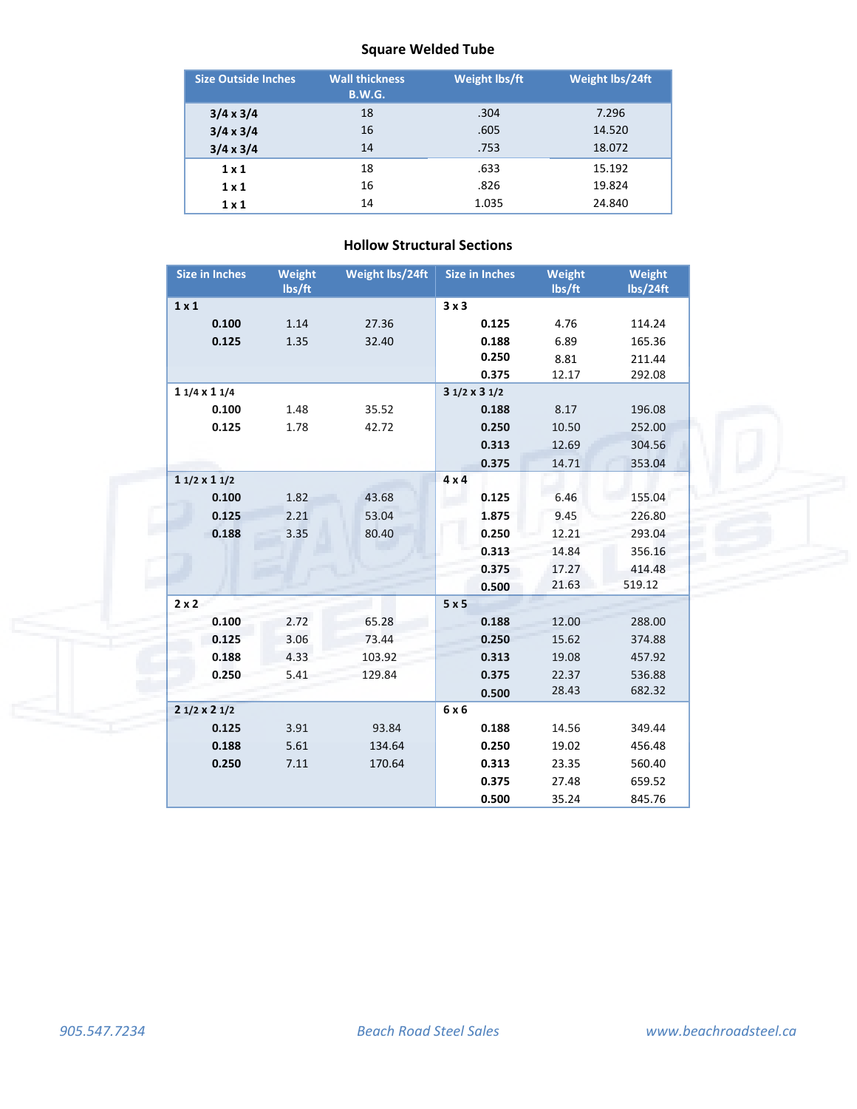# **Square Welded Tube**

| <b>Size Outside Inches</b> | <b>Wall thickness</b><br><b>B.W.G.</b> | <b>Weight lbs/ft</b> | Weight lbs/24ft |
|----------------------------|----------------------------------------|----------------------|-----------------|
| $3/4 \times 3/4$           | 18                                     | .304                 | 7.296           |
| $3/4 \times 3/4$           | 16                                     | .605                 | 14.520          |
| $3/4 \times 3/4$           | 14                                     | .753                 | 18.072          |
| 1x1                        | 18                                     | .633                 | 15.192          |
| 1x1                        | 16                                     | .826                 | 19.824          |
| 1x1                        | 14                                     | 1.035                | 24.840          |

| <b>Size in Inches</b> | Weight<br>lbs/ft | Weight lbs/24ft | <b>Size in Inches</b> | Weight<br>lbs/ft | Weight<br>lbs/24ft |
|-----------------------|------------------|-----------------|-----------------------|------------------|--------------------|
| $1 \times 1$          |                  |                 | 3x3                   |                  |                    |
| 0.100                 | 1.14             | 27.36           | 0.125                 | 4.76             | 114.24             |
| 0.125                 | 1.35             | 32.40           | 0.188                 | 6.89             | 165.36             |
|                       |                  |                 | 0.250                 | 8.81             | 211.44             |
|                       |                  |                 | 0.375                 | 12.17            | 292.08             |
| $11/4 \times 11/4$    |                  |                 | $31/2 \times 31/2$    |                  |                    |
| 0.100                 | 1.48             | 35.52           | 0.188                 | 8.17             | 196.08             |
| 0.125                 | 1.78             | 42.72           | 0.250                 | 10.50            | 252.00             |
|                       |                  |                 | 0.313                 | 12.69            | 304.56             |
|                       |                  |                 | 0.375                 | 14.71            | 353.04             |
| $11/2 \times 11/2$    |                  |                 | $4 \times 4$          |                  |                    |
| 0.100                 | 1.82             | 43.68           | 0.125                 | 6.46             | 155.04             |
| 0.125                 | 2.21             | 53.04           | 1.875                 | 9.45             | 226.80             |
| 0.188                 | 3.35             | 80.40           | 0.250                 | 12.21            | 293.04             |
|                       |                  |                 | 0.313                 | 14.84            | 356.16             |
|                       |                  |                 | 0.375                 | 17.27            | 414.48             |
|                       |                  |                 | 0.500                 | 21.63            | 519.12             |
| $2 \times 2$          |                  |                 | 5x5                   |                  |                    |
| 0.100                 | 2.72             | 65.28           | 0.188                 | 12.00            | 288.00             |
| 0.125                 | 3.06             | 73.44           | 0.250                 | 15.62            | 374.88             |
| 0.188                 | 4.33             | 103.92          | 0.313                 | 19.08            | 457.92             |
| 0.250                 | 5.41             | 129.84          | 0.375                 | 22.37            | 536.88             |
|                       |                  |                 | 0.500                 | 28.43            | 682.32             |
| $21/2 \times 21/2$    |                  |                 | 6x6                   |                  |                    |
| 0.125                 | 3.91             | 93.84           | 0.188                 | 14.56            | 349.44             |
| 0.188                 | 5.61             | 134.64          | 0.250                 | 19.02            | 456.48             |
| 0.250                 | 7.11             | 170.64          | 0.313                 | 23.35            | 560.40             |
|                       |                  |                 | 0.375                 | 27.48            | 659.52             |
|                       |                  |                 | 0.500                 | 35.24            | 845.76             |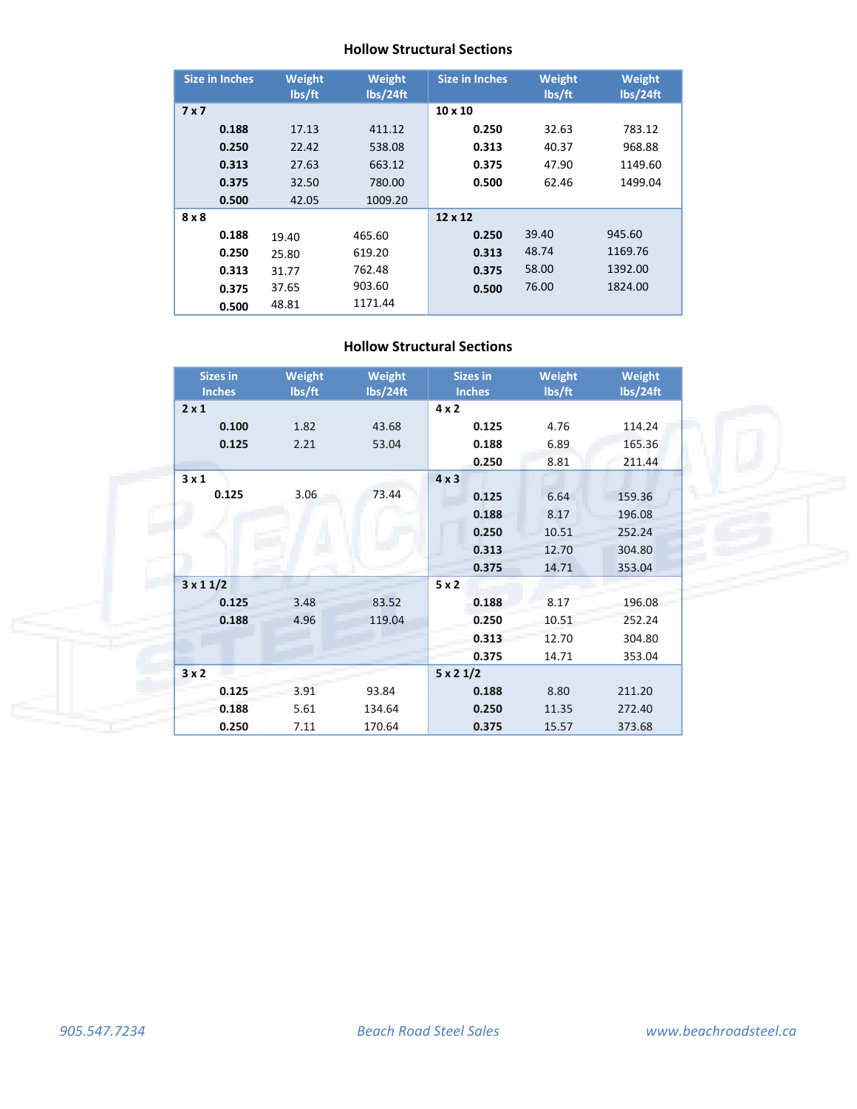#### **Hollow Structural Sections**

| <b>Size in Inches</b> |       | <b>Weight</b><br>lbs/ft | Weight<br>lbs/24ft | <b>Size in Inches</b> | Weight<br>lbs/ft | Weight<br>lbs/24ft |
|-----------------------|-------|-------------------------|--------------------|-----------------------|------------------|--------------------|
| 7x7                   |       |                         |                    | $10 \times 10$        |                  |                    |
|                       | 0.188 | 17.13                   | 411.12             | 0.250                 | 32.63            | 783.12             |
|                       | 0.250 | 22.42                   | 538.08             | 0.313                 | 40.37            | 968.88             |
|                       | 0.313 | 27.63                   | 663.12             | 0.375                 | 47.90            | 1149.60            |
|                       | 0.375 | 32.50                   | 780.00             | 0.500                 | 62.46            | 1499.04            |
|                       | 0.500 | 42.05                   | 1009.20            |                       |                  |                    |
| 8 x 8                 |       |                         |                    | 12 x 12               |                  |                    |
|                       | 0.188 | 19.40                   | 465.60             | 0.250                 | 39.40            | 945.60             |
|                       | 0.250 | 25.80                   | 619.20             | 0.313                 | 48.74            | 1169.76            |
|                       | 0.313 | 31.77                   | 762.48             | 0.375                 | 58.00            | 1392.00            |
|                       | 0.375 | 37.65                   | 903.60             | 0.500                 | 76.00            | 1824.00            |
|                       | 0.500 | 48.81                   | 1171.44            |                       |                  |                    |

| <b>Sizes in</b><br><b>Inches</b> | <b>Weight</b><br>lbs/ft | <b>Weight</b><br>lbs/24ft | <b>Sizes in</b><br><b>Inches</b> | <b>Weight</b><br>lbs/ft | <b>Weight</b><br>lbs/24ft |
|----------------------------------|-------------------------|---------------------------|----------------------------------|-------------------------|---------------------------|
| $2 \times 1$                     |                         |                           | $4 \times 2$                     |                         |                           |
| 0.100                            | 1.82                    | 43.68                     | 0.125                            | 4.76                    | 114.24                    |
| 0.125                            | 2.21                    | 53.04                     | 0.188                            | 6.89                    | 165.36                    |
|                                  |                         |                           | 0.250                            | 8.81                    | 211.44                    |
| 3x1                              |                         |                           | $4 \times 3$                     |                         |                           |
| 0.125                            | 3.06                    | 73.44                     | 0.125                            | 6.64                    | 159.36                    |
|                                  |                         |                           | 0.188                            | 8.17                    | 196.08                    |
|                                  |                         |                           | 0.250                            | 10.51                   | 252.24                    |
|                                  |                         |                           | 0.313                            | 12.70                   | 304.80                    |
|                                  |                         |                           | 0.375                            | 14.71                   | 353.04                    |
| $3 \times 11/2$                  |                         |                           | 5x2                              |                         |                           |
| 0.125                            | 3.48                    | 83.52                     | 0.188                            | 8.17                    | 196.08                    |
| 0.188                            | 4.96                    | 119.04                    | 0.250                            | 10.51                   | 252.24                    |
|                                  |                         |                           | 0.313                            | 12.70                   | 304.80                    |
|                                  |                         |                           | 0.375                            | 14.71                   | 353.04                    |
| 3x2                              |                         |                           | $5 \times 21/2$                  |                         |                           |
| 0.125                            | 3.91                    | 93.84                     | 0.188                            | 8.80                    | 211.20                    |
| 0.188                            | 5.61                    | 134.64                    | 0.250                            | 11.35                   | 272.40                    |
| 0.250                            | 7.11                    | 170.64                    | 0.375                            | 15.57                   | 373.68                    |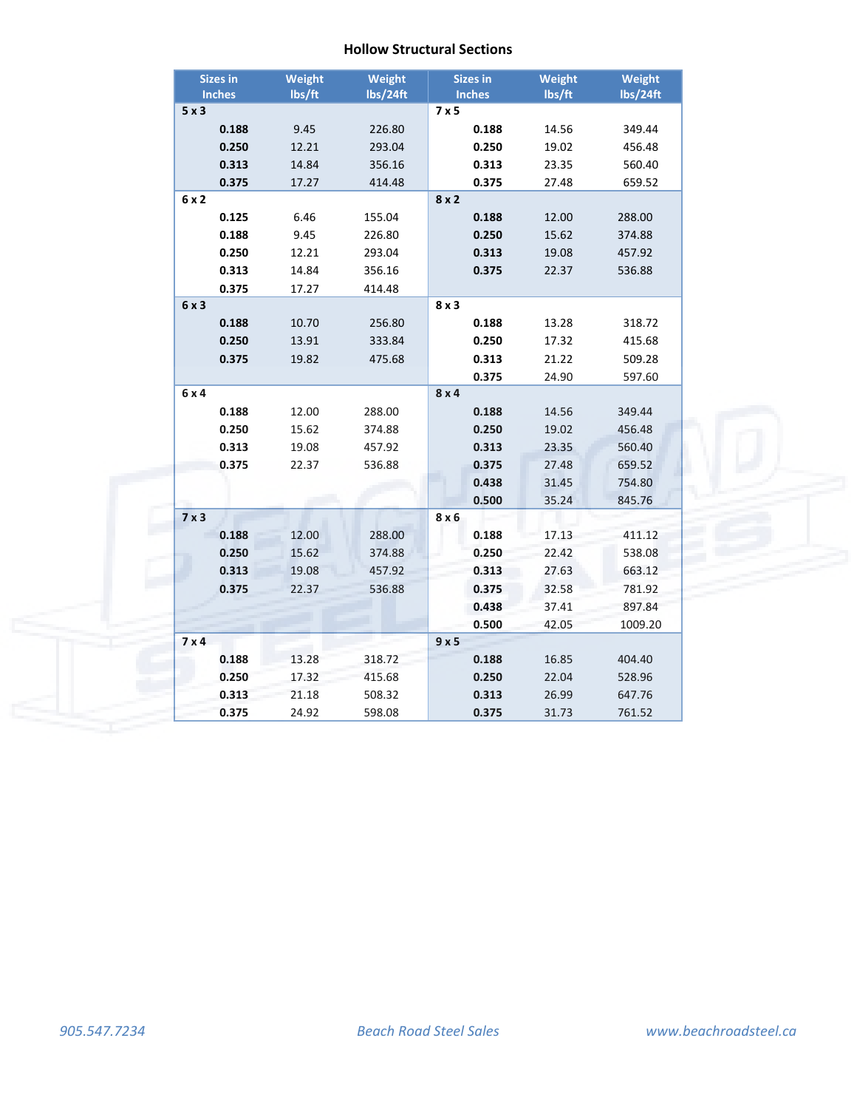|              | <b>Sizes in</b> | <b>Weight</b> | Weight   | <b>Sizes in</b> | Weight | <b>Weight</b> |
|--------------|-----------------|---------------|----------|-----------------|--------|---------------|
|              | <b>Inches</b>   | lbs/ft        | lbs/24ft | <b>Inches</b>   | lbs/ft | lbs/24ft      |
| 5x3          |                 |               |          | 7x5             |        |               |
|              | 0.188           | 9.45          | 226.80   | 0.188           | 14.56  | 349.44        |
|              | 0.250           | 12.21         | 293.04   | 0.250           | 19.02  | 456.48        |
|              | 0.313           | 14.84         | 356.16   | 0.313           | 23.35  | 560.40        |
|              | 0.375           | 17.27         | 414.48   | 0.375           | 27.48  | 659.52        |
| 6 x 2        |                 |               |          | 8x2             |        |               |
|              | 0.125           | 6.46          | 155.04   | 0.188           | 12.00  | 288.00        |
|              | 0.188           | 9.45          | 226.80   | 0.250           | 15.62  | 374.88        |
|              | 0.250           | 12.21         | 293.04   | 0.313           | 19.08  | 457.92        |
|              | 0.313           | 14.84         | 356.16   | 0.375           | 22.37  | 536.88        |
|              | 0.375           | 17.27         | 414.48   |                 |        |               |
| 6x3          |                 |               |          | 8x3             |        |               |
|              | 0.188           | 10.70         | 256.80   | 0.188           | 13.28  | 318.72        |
|              | 0.250           | 13.91         | 333.84   | 0.250           | 17.32  | 415.68        |
|              | 0.375           | 19.82         | 475.68   | 0.313           | 21.22  | 509.28        |
|              |                 |               |          | 0.375           | 24.90  | 597.60        |
| 6 x 4        |                 |               |          | 8x4             |        |               |
|              | 0.188           | 12.00         | 288.00   | 0.188           | 14.56  | 349.44        |
|              | 0.250           | 15.62         | 374.88   | 0.250           | 19.02  | 456.48        |
|              | 0.313           | 19.08         | 457.92   | 0.313           | 23.35  | 560.40        |
|              | 0.375           | 22.37         | 536.88   | 0.375           | 27.48  | 659.52        |
|              |                 |               |          | 0.438           | 31.45  | 754.80        |
|              |                 |               |          | 0.500           | 35.24  | 845.76        |
| $7 \times 3$ |                 |               |          | 8 x 6           |        |               |
|              | 0.188           | 12.00         | 288.00   | 0.188           | 17.13  | 411.12        |
|              | 0.250           | 15.62         | 374.88   | 0.250           | 22.42  | 538.08        |
|              | 0.313           | 19.08         | 457.92   | 0.313           | 27.63  | 663.12        |
|              | 0.375           | 22.37         | 536.88   | 0.375           | 32.58  | 781.92        |
|              |                 |               |          | 0.438           | 37.41  | 897.84        |
|              |                 |               |          | 0.500           | 42.05  | 1009.20       |
| 7 × 4        |                 |               |          | 9x5             |        |               |
|              | 0.188           | 13.28         | 318.72   | 0.188           | 16.85  | 404.40        |
|              | 0.250           | 17.32         | 415.68   | 0.250           | 22.04  | 528.96        |
|              | 0.313           | 21.18         | 508.32   | 0.313           | 26.99  | 647.76        |
|              | 0.375           | 24.92         | 598.08   | 0.375           | 31.73  | 761.52        |